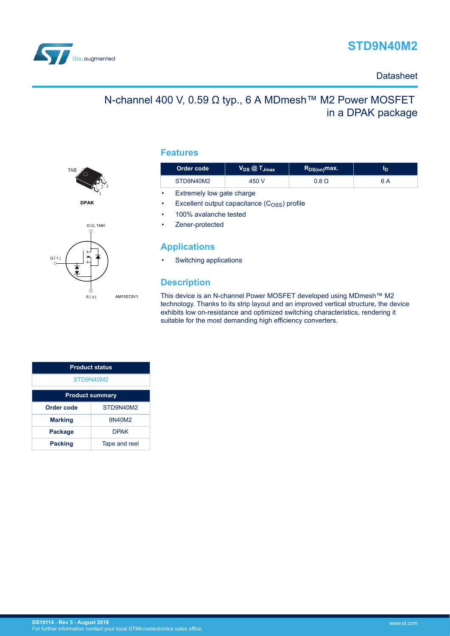



### **Datasheet**

# N-channel 400 V, 0.59 Ω typ., 6 A MDmesh™ M2 Power MOSFET in a DPAK package





### **Features**

| Order code | $V_{DS}$ $@$ $T_{Jmax}$   | $R_{DS(on)}$ max. | סי  |  |  |  |
|------------|---------------------------|-------------------|-----|--|--|--|
| STD9N40M2  | 450 V                     | $0.8\ \Omega$     | 6 A |  |  |  |
|            | Eytromoly low acto chorge |                   |     |  |  |  |

- Extremely low gate charge
- Excellent output capacitance  $(C<sub>OSS</sub>)$  profile
- 100% avalanche tested
- Zener-protected

### **Applications**

• Switching applications

### **Description**

This device is an N-channel Power MOSFET developed using MDmesh™ M2 technology. Thanks to its strip layout and an improved vertical structure, the device exhibits low on-resistance and optimized switching characteristics, rendering it suitable for the most demanding high efficiency converters.

| <b>Product status</b>           |           |  |  |  |
|---------------------------------|-----------|--|--|--|
| STD9N40M2                       |           |  |  |  |
| <b>Product summary</b>          |           |  |  |  |
| Order code                      | STD9N40M2 |  |  |  |
| <b>Marking</b>                  | 9N40M2    |  |  |  |
| <b>DPAK</b><br><b>Package</b>   |           |  |  |  |
| Tape and reel<br><b>Packing</b> |           |  |  |  |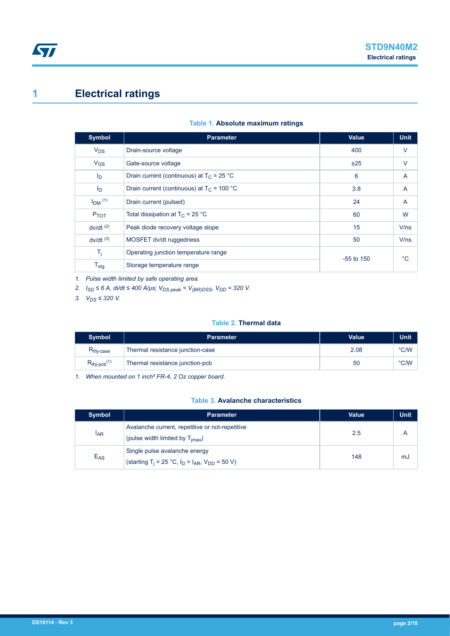# <span id="page-1-0"></span>**1 Electrical ratings**

| Table 1. Absolute maximum ratings |  |  |
|-----------------------------------|--|--|
|-----------------------------------|--|--|

| <b>Symbol</b>               | <b>Parameter</b>                             | Value        | <b>Unit</b> |
|-----------------------------|----------------------------------------------|--------------|-------------|
| $V_{DS}$                    | Drain-source voltage                         | 400          | V           |
| $V_{GS}$                    | Gate-source voltage                          | ±25          | $\vee$      |
| $I_{\rm D}$                 | Drain current (continuous) at $T_C = 25 °C$  | 6            | A           |
| $I_{\text{D}}$              | Drain current (continuous) at $T_c$ = 100 °C | 3.8          | A           |
| $IDM$ (1)                   | Drain current (pulsed)                       | 24           | A           |
| P <sub>TOT</sub>            | Total dissipation at $T_C = 25 °C$           | 60           | W           |
| $dv/dt$ <sup>(2)</sup>      | Peak diode recovery voltage slope            | 15           | V/ns        |
| $dv/dt$ <sup>(3)</sup>      | MOSFET dv/dt ruggedness                      | 50           | V/ns        |
| $T_{\rm i}$                 | Operating junction temperature range         | $-55$ to 150 | °C          |
| $\mathsf{T}_{\textsf{stg}}$ | Storage temperature range                    |              |             |

*1. Pulse width limited by safe operating area.*

*2. ISD ≤ 6 A, di/dt ≤ 400 A/μs; VDS peak < V(BR)DSS, VDD = 320 V.*

*3. VDS ≤ 320 V.*

#### **Table 2. Thermal data**

| <b>Symbol</b>                        | <b>Parameter</b>                 | Value | Unit |
|--------------------------------------|----------------------------------|-------|------|
| $R_{\mathsf{th} \mid \mathsf{case}}$ | Thermal resistance junction-case | 2.08  | °C/W |
| $R_{thj-pcb}$ <sup>(1)</sup>         | Thermal resistance junction-pcb  | 50    | °C/W |

*1. When mounted on 1 inch² FR-4, 2 Oz copper board.*

### **Table 3. Avalanche characteristics**

| Symbol          | <b>Parameter</b>                                                                                                              | Value | Unit |
|-----------------|-------------------------------------------------------------------------------------------------------------------------------|-------|------|
| <sup>I</sup> AR | Avalanche current, repetitive or not-repetitive<br>(pulse width limited by $T_{\text{imax}}$ )                                | 2.5   |      |
| $E_{AS}$        | Single pulse avalanche energy<br>(starting T <sub>i</sub> = 25 °C, I <sub>D</sub> = I <sub>AR</sub> , V <sub>DD</sub> = 50 V) | 148   | mJ   |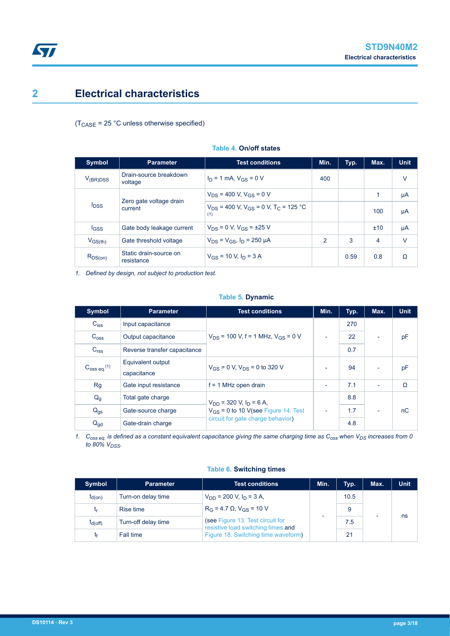# **2 Electrical characteristics**

 $(T_{\text{CASE}} = 25 \text{ °C}$  unless otherwise specified)

| <b>Symbol</b>    | <b>Parameter</b>                     | <b>Test conditions</b>                                  | Min.           | Typ. | Max.           | <b>Unit</b> |
|------------------|--------------------------------------|---------------------------------------------------------|----------------|------|----------------|-------------|
| $V_{(BR)DSS}$    | Drain-source breakdown<br>voltage    | $I_D = 1$ mA, $V_{GS} = 0$ V                            | 400            |      |                | $\vee$      |
|                  |                                      | $V_{DS}$ = 400 V, $V_{GS}$ = 0 V                        |                |      | 1              | μA          |
| $I_{\text{DSS}}$ | Zero gate voltage drain<br>current   | $V_{DS}$ = 400 V, $V_{GS}$ = 0 V, $T_C$ = 125 °C<br>(1) |                |      | 100            | μA          |
| <b>IGSS</b>      | Gate body leakage current            | $V_{DS} = 0 V$ , $V_{GS} = \pm 25 V$                    |                |      | ±10            | μA          |
| $V_{GS(th)}$     | Gate threshold voltage               | $V_{DS} = V_{GS}$ , $I_D = 250 \mu A$                   | $\overline{2}$ | 3    | $\overline{4}$ | $\vee$      |
| $R_{DS(on)}$     | Static drain-source on<br>resistance | $V_{GS}$ = 10 V, $I_D$ = 3 A                            |                | 0.59 | 0.8            | Ω           |

#### **Table 4. On/off states**

*1. Defined by design, not subject to production test.*

#### **Table 5. Dynamic**

| <b>Symbol</b>                     | <b>Parameter</b>                 | <b>Test conditions</b>                                                        | Min.                     | Typ. | Max.                     | <b>Unit</b> |
|-----------------------------------|----------------------------------|-------------------------------------------------------------------------------|--------------------------|------|--------------------------|-------------|
| $C_{iss}$                         | Input capacitance                |                                                                               |                          | 270  |                          |             |
| $C_{\text{oss}}$                  | Output capacitance               | $V_{DS}$ = 100 V, f = 1 MHz, $V_{GS}$ = 0 V                                   | $\overline{\phantom{0}}$ | 22   | $\overline{\phantom{a}}$ | pF          |
| C <sub>rss</sub>                  | Reverse transfer capacitance     |                                                                               |                          | 0.7  |                          |             |
| $C_{\rm 0ss\,eq.}$ <sup>(1)</sup> | Equivalent output<br>capacitance | $V_{GS} = 0$ V, $V_{DS} = 0$ to 320 V                                         |                          | 94   | $\overline{\phantom{a}}$ | pF          |
| Rg                                | Gate input resistance            | $f = 1$ MHz open drain                                                        |                          | 7.1  | $\overline{\phantom{a}}$ | Ω           |
| $Q_{q}$                           | Total gate charge                | $V_{DD}$ = 320 V, $I_D$ = 6 A,                                                |                          | 8.8  |                          |             |
| $Q_{gs}$                          | Gate-source charge               | $V_{GS}$ = 0 to 10 V(see Figure 14. Test<br>circuit for gate charge behavior) |                          | 1.7  | $\overline{\phantom{0}}$ | nC          |
| $Q_{gd}$                          | Gate-drain charge                |                                                                               |                          | 4.8  |                          |             |

*1. Coss eq. is defined as a constant equivalent capacitance giving the same charging time as Coss when VDS increases from 0 to 80% VDSS.*

#### **Table 6. Switching times**

| <b>Symbol</b> | <b>Parameter</b>    | <b>Test conditions</b>                                                 | Min.                     | Typ. | Max. | <b>Unit</b> |
|---------------|---------------------|------------------------------------------------------------------------|--------------------------|------|------|-------------|
| $t_{d(on)}$   | Turn-on delay time  | $V_{DD}$ = 200 V, $I_D$ = 3 A,                                         |                          | 10.5 |      |             |
| tr            | Rise time           | $R_G = 4.7 \Omega$ , $V_{GS} = 10 V$                                   |                          | 9    |      |             |
| $t_{d(Off)}$  | Turn-off delay time | (see Figure 13. Test circuit for<br>resistive load switching times and | $\overline{\phantom{0}}$ | 7.5  |      | ns          |
|               | Fall time           | Figure 18. Switching time waveform)                                    |                          | 21   |      |             |

<span id="page-2-0"></span>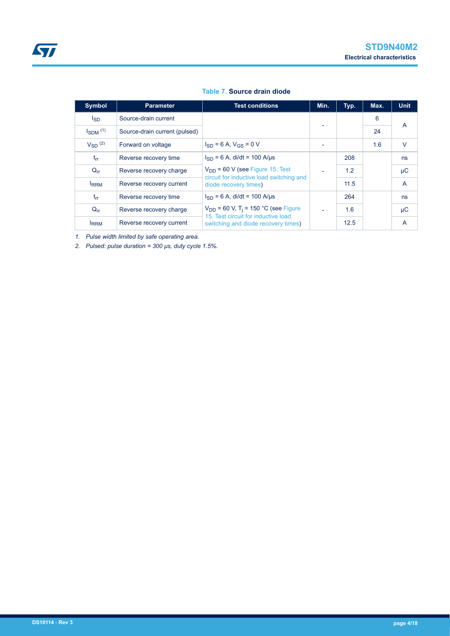#### **Table 7. Source drain diode**

| <b>Symbol</b>   | <b>Parameter</b>              | <b>Test conditions</b>                                                                      | Min. | Typ. | Max. | <b>Unit</b>    |
|-----------------|-------------------------------|---------------------------------------------------------------------------------------------|------|------|------|----------------|
| l <sub>SD</sub> | Source-drain current          |                                                                                             |      |      | 6    |                |
| $I_{SDM}$ $(1)$ | Source-drain current (pulsed) |                                                                                             |      |      | 24   | A              |
| $V_{SD}$ (2)    | Forward on voltage            | $I_{SD} = 6$ A, $V_{GS} = 0$ V                                                              |      |      | 1.6  | $\vee$         |
| $t_{rr}$        | Reverse recovery time         | $I_{SD} = 6$ A, di/dt = 100 A/µs                                                            |      | 208  |      | ns             |
| $Q_{rr}$        | Reverse recovery charge       | $V_{DD}$ = 60 V (see Figure 15. Test<br>$\sim$<br>circuit for inductive load switching and  |      | 1.2  |      | $\mu$ C        |
| <b>IRRM</b>     | Reverse recovery current      | diode recovery times)                                                                       |      | 11.5 |      | $\overline{A}$ |
| $t_{rr}$        | Reverse recovery time         | $I_{SD} = 6$ A, di/dt = 100 A/us                                                            |      | 264  |      | ns             |
| $Q_{rr}$        | Reverse recovery charge       | $V_{DD}$ = 60 V, T <sub>i</sub> = 150 °C (see Figure<br>15. Test circuit for inductive load |      | 1.6  |      | μC             |
| <b>IRRM</b>     | Reverse recovery current      | switching and diode recovery times)                                                         |      | 12.5 |      | $\overline{A}$ |

*1. Pulse width limited by safe operating area.*

*2. Pulsed: pulse duration = 300 μs, duty cycle 1.5%.*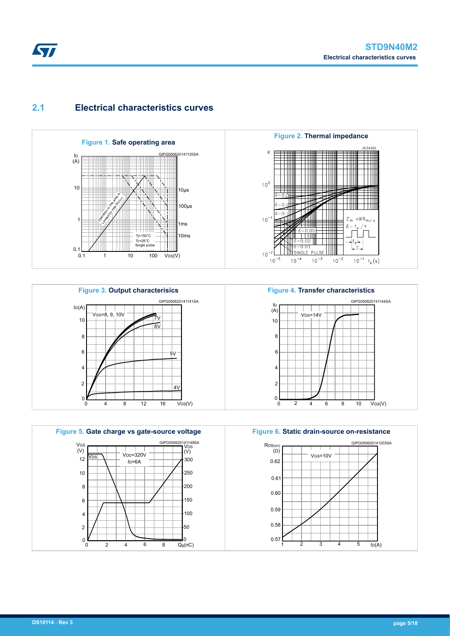# **2.1 Electrical characteristics curves**

<span id="page-4-0"></span>**STI** 







**Figure 4. Transfer characteristics**



**Figure 6. Static drain-source on-resistance** RDS(on) 0.59 0.58 0.57 2 3 4 5  $\ln(A)$  $\alpha$ ) 1 3 0.60 VGS=10V  $\overline{4}$ 0.61 0.62 GIPG050620141203SA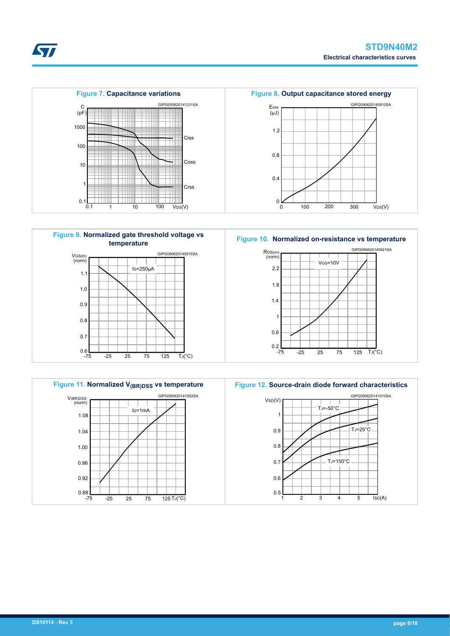







**Figure 10. Normalized on-resistance vs temperature**



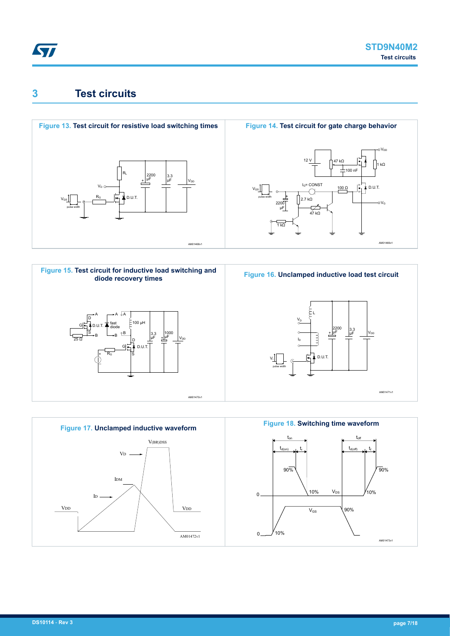## <span id="page-6-0"></span>**3 Test circuits**









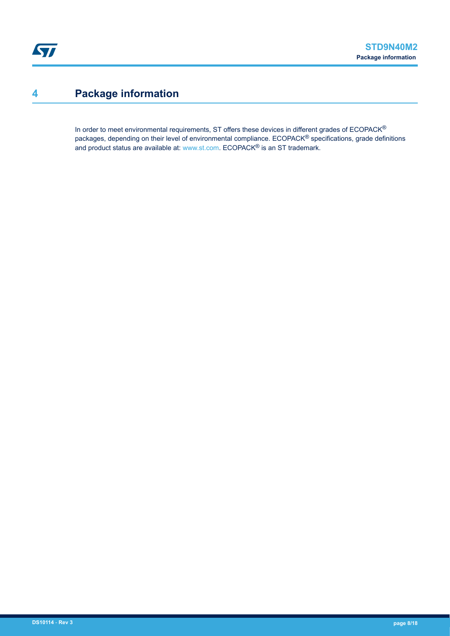# <span id="page-7-0"></span>**4 Package information**

In order to meet environmental requirements, ST offers these devices in different grades of ECOPACK® packages, depending on their level of environmental compliance. ECOPACK® specifications, grade definitions and product status are available at: [www.st.com.](http://www.st.com) ECOPACK® is an ST trademark.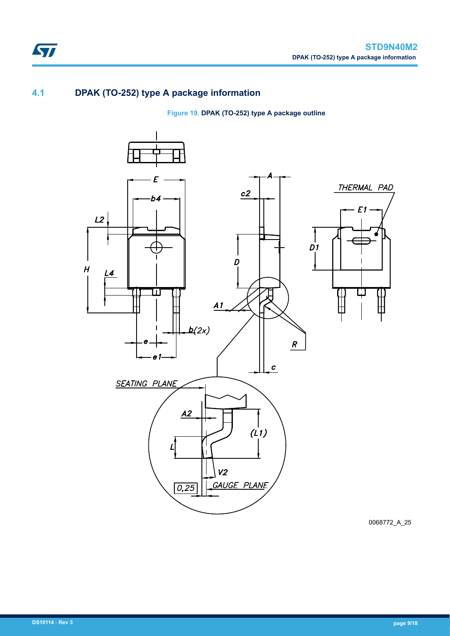## **4.1 DPAK (TO-252) type A package information**

ST

**Figure 19. DPAK (TO-252) type A package outline**



0068772\_A\_25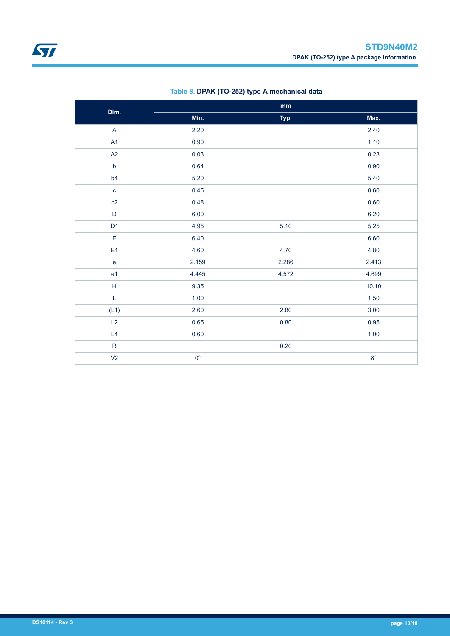<span id="page-9-0"></span>

| Dim.                                                        | $\mathop{\text{mm}}\nolimits$ |       |             |  |  |  |
|-------------------------------------------------------------|-------------------------------|-------|-------------|--|--|--|
|                                                             | Min.                          | Typ.  | Max.        |  |  |  |
| $\overline{A}$                                              | 2.20                          |       | 2.40        |  |  |  |
| A1                                                          | 0.90                          |       | 1.10        |  |  |  |
| A2                                                          | 0.03                          |       | 0.23        |  |  |  |
| $\mathsf b$                                                 | 0.64                          |       | 0.90        |  |  |  |
| b4                                                          | 5.20                          |       | 5.40        |  |  |  |
| $\mathbf{C}$                                                | 0.45                          |       | 0.60        |  |  |  |
| c2                                                          | 0.48                          |       | 0.60        |  |  |  |
| $\mathsf D$                                                 | 6.00                          |       | 6.20        |  |  |  |
| D <sub>1</sub>                                              | 4.95                          | 5.10  | 5.25        |  |  |  |
| E                                                           | 6.40                          |       | 6.60        |  |  |  |
| E <sub>1</sub>                                              | 4.60                          | 4.70  | 4.80        |  |  |  |
| $\mathbf{e}$                                                | 2.159                         | 2.286 | 2.413       |  |  |  |
| e <sub>1</sub>                                              | 4.445                         | 4.572 | 4.699       |  |  |  |
| $\mathsf{H}% _{\mathbb{R}}^{1}\left( \mathbb{R}^{2}\right)$ | 9.35                          |       | 10.10       |  |  |  |
| $\mathsf L$                                                 | 1.00                          |       | 1.50        |  |  |  |
| (L1)                                                        | 2.60                          | 2.80  | 3.00        |  |  |  |
| L2                                                          | 0.65                          | 0.80  | 0.95        |  |  |  |
| L4                                                          | 0.60                          |       | 1.00        |  |  |  |
| ${\sf R}$                                                   |                               | 0.20  |             |  |  |  |
| V <sub>2</sub>                                              | $0^{\circ}$                   |       | $8^{\circ}$ |  |  |  |

### **Table 8. DPAK (TO-252) type A mechanical data**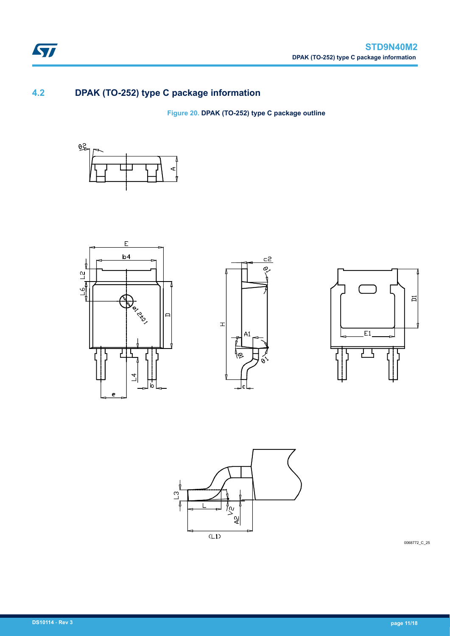# **4.2 DPAK (TO-252) type C package information**

**Figure 20. DPAK (TO-252) type C package outline**











0068772\_C\_25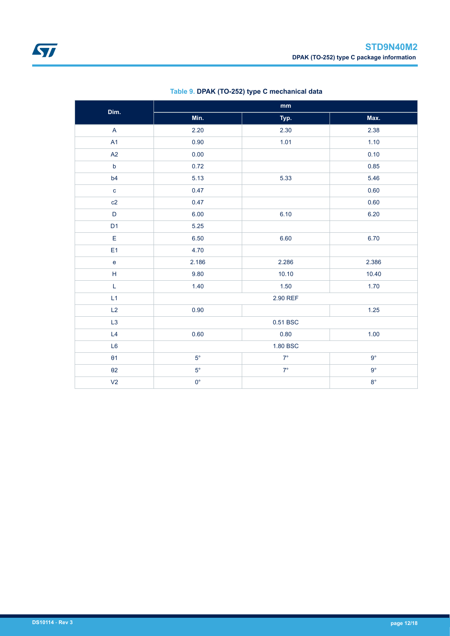| Dim.                                                        | $\mathop{\text{mm}}\nolimits$ |             |             |  |  |
|-------------------------------------------------------------|-------------------------------|-------------|-------------|--|--|
|                                                             | Min.                          | Typ.        | Max.        |  |  |
| $\mathsf{A}$                                                | 2.20                          | 2.30        | 2.38        |  |  |
| <b>A1</b>                                                   | 0.90                          | 1.01        | 1.10        |  |  |
| A2                                                          | 0.00                          |             | 0.10        |  |  |
| $\mathsf b$                                                 | 0.72                          |             | 0.85        |  |  |
| b4                                                          | 5.13                          | 5.33        | 5.46        |  |  |
| $\mathbf c$                                                 | 0.47                          |             | 0.60        |  |  |
| c2                                                          | 0.47                          |             | 0.60        |  |  |
| $\mathsf D$                                                 | 6.00                          | 6.10        | 6.20        |  |  |
| D <sub>1</sub>                                              | 5.25                          |             |             |  |  |
| E                                                           | 6.50                          | 6.60        | 6.70        |  |  |
| E <sub>1</sub>                                              | 4.70                          |             |             |  |  |
| $\mathsf{e}% _{0}\left( \mathsf{e}_{0}\right)$              | 2.186                         | 2.286       | 2.386       |  |  |
| $\mathsf{H}% _{\mathbb{R}}^{1}\left( \mathbb{R}^{2}\right)$ | 9.80                          | 10.10       | 10.40       |  |  |
| L                                                           | 1.40                          | 1.50        | 1.70        |  |  |
| L1                                                          |                               | 2.90 REF    |             |  |  |
| L2                                                          | 0.90                          |             | $1.25$      |  |  |
| L <sub>3</sub>                                              |                               | 0.51 BSC    |             |  |  |
| L4                                                          | 0.60                          | 0.80        | 1.00        |  |  |
| L <sub>6</sub>                                              |                               | 1.80 BSC    |             |  |  |
| $\theta$ 1                                                  | $5^{\circ}$                   | $7^{\circ}$ | $9^{\circ}$ |  |  |
| $\theta$ 2                                                  | $5^{\circ}$                   | $7^\circ$   | $9^{\circ}$ |  |  |
| V <sub>2</sub>                                              | $0^{\circ}$                   |             | $8^{\circ}$ |  |  |

### **Table 9. DPAK (TO-252) type C mechanical data**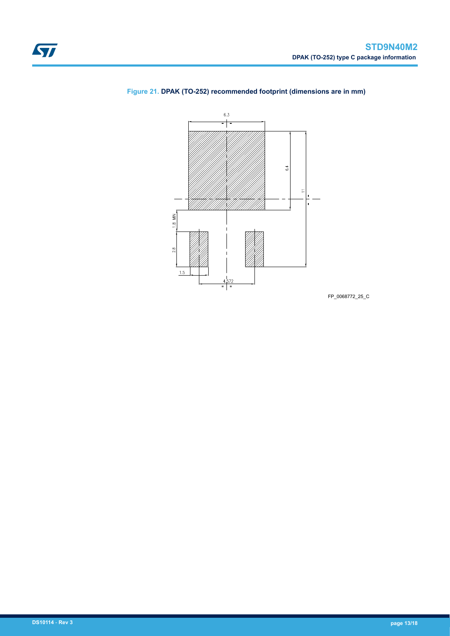

### **Figure 21. DPAK (TO-252) recommended footprint (dimensions are in mm)**

FP\_0068772\_25\_C

<span id="page-12-0"></span>ST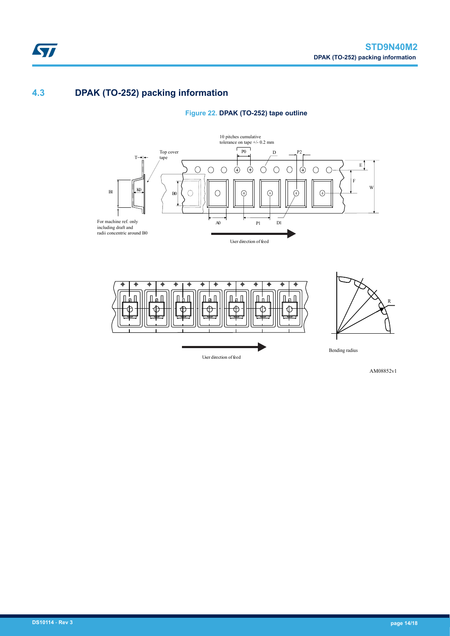## **4.3 DPAK (TO-252) packing information**

ST







AM08852v1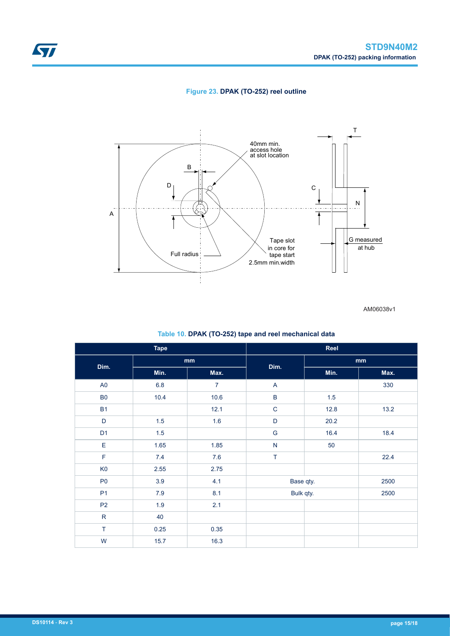

### **Figure 23. DPAK (TO-252) reel outline**



AM06038v1

#### **Table 10. DPAK (TO-252) tape and reel mechanical data**

| <b>Tape</b>    |         |                | Reel                      |           |      |
|----------------|---------|----------------|---------------------------|-----------|------|
| Dim.           | mm      |                | Dim.                      | mm        |      |
|                | Min.    | Max.           |                           | Min.      | Max. |
| A <sub>0</sub> | $6.8\,$ | $\overline{7}$ | $\boldsymbol{\mathsf{A}}$ |           | 330  |
| <b>B0</b>      | 10.4    | 10.6           | $\sf B$                   | 1.5       |      |
| <b>B1</b>      |         | 12.1           | $\mathsf C$               | 12.8      | 13.2 |
| $\mathsf D$    | 1.5     | 1.6            | $\mathsf D$               | 20.2      |      |
| D <sub>1</sub> | 1.5     |                | G                         | 16.4      | 18.4 |
| E              | 1.65    | 1.85           | ${\sf N}$                 | 50        |      |
| $\mathsf F$    | 7.4     | 7.6            | $\top$                    |           | 22.4 |
| K <sub>0</sub> | 2.55    | 2.75           |                           |           |      |
| P <sub>0</sub> | 3.9     | 4.1            |                           | Base qty. | 2500 |
| P <sub>1</sub> | 7.9     | 8.1            | Bulk qty.                 |           | 2500 |
| P <sub>2</sub> | 1.9     | 2.1            |                           |           |      |
| ${\sf R}$      | 40      |                |                           |           |      |
| $\top$         | 0.25    | 0.35           |                           |           |      |
| W              | 15.7    | 16.3           |                           |           |      |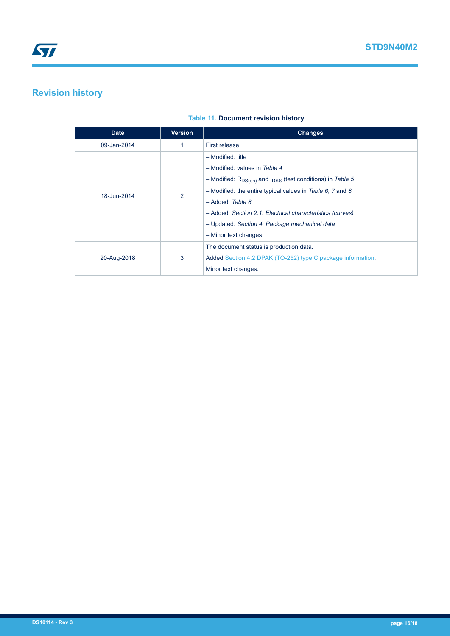# <span id="page-15-0"></span>**Revision history**

### **Table 11. Document revision history**

| <b>Date</b> | Version        | <b>Changes</b>                                                      |
|-------------|----------------|---------------------------------------------------------------------|
| 09-Jan-2014 | 1              | First release.                                                      |
|             | $\overline{2}$ | - Modified: title                                                   |
| 18-Jun-2014 |                | $-$ Modified: values in Table 4                                     |
|             |                | - Modified: $R_{DS(on)}$ and $I_{DSS}$ (test conditions) in Table 5 |
|             |                | - Modified: the entire typical values in Table 6, 7 and 8           |
|             |                | - Added: Table 8                                                    |
|             |                | - Added: Section 2.1: Electrical characteristics (curves)           |
|             |                | - Updated: Section 4: Package mechanical data                       |
|             |                | - Minor text changes                                                |
|             | 3              | The document status is production data.                             |
| 20-Aug-2018 |                | Added Section 4.2 DPAK (TO-252) type C package information.         |
|             |                | Minor text changes.                                                 |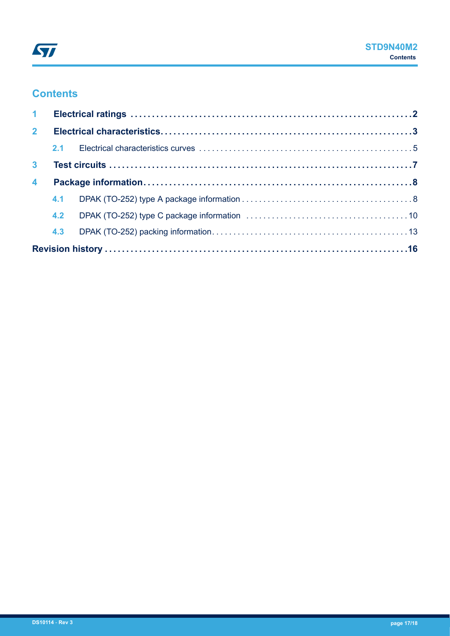## **Contents**

| 1 <sup>1</sup>       |     |  |  |  |  |  |
|----------------------|-----|--|--|--|--|--|
| 2 <sup>7</sup>       |     |  |  |  |  |  |
|                      |     |  |  |  |  |  |
| 3 <sup>1</sup>       |     |  |  |  |  |  |
| $\blacktriangleleft$ |     |  |  |  |  |  |
|                      | 4.1 |  |  |  |  |  |
|                      | 4.2 |  |  |  |  |  |
|                      | 4.3 |  |  |  |  |  |
|                      |     |  |  |  |  |  |